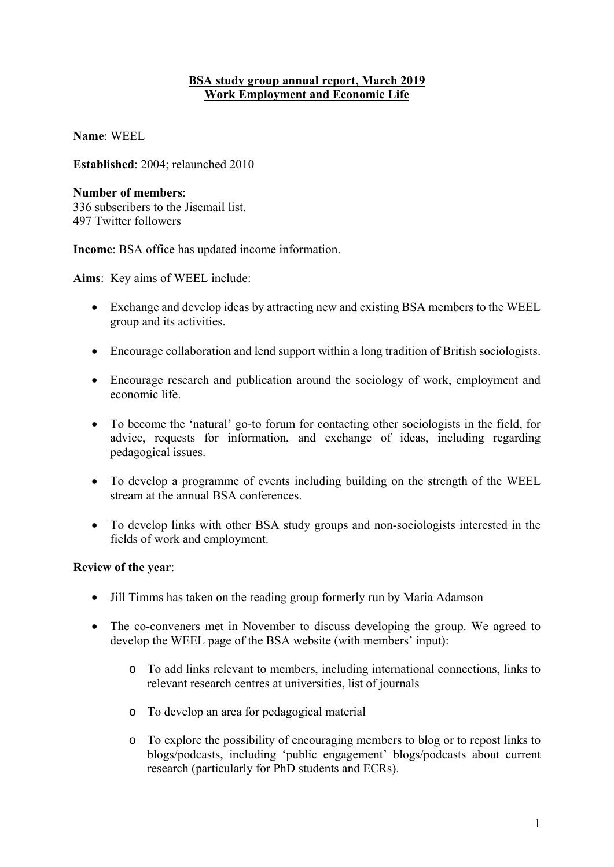# **BSA study group annual report, March 2019 Work Employment and Economic Life**

**Name**: WEEL

**Established**: 2004; relaunched 2010

#### **Number of members**:

336 subscribers to the Jiscmail list. 497 Twitter followers

**Income**: BSA office has updated income information.

**Aims**: Key aims of WEEL include:

- Exchange and develop ideas by attracting new and existing BSA members to the WEEL group and its activities.
- Encourage collaboration and lend support within a long tradition of British sociologists.
- Encourage research and publication around the sociology of work, employment and economic life.
- To become the 'natural' go-to forum for contacting other sociologists in the field, for advice, requests for information, and exchange of ideas, including regarding pedagogical issues.
- To develop a programme of events including building on the strength of the WEEL stream at the annual BSA conferences.
- To develop links with other BSA study groups and non-sociologists interested in the fields of work and employment.

# **Review of the year**:

- Jill Timms has taken on the reading group formerly run by Maria Adamson
- The co-conveners met in November to discuss developing the group. We agreed to develop the WEEL page of the BSA website (with members' input):
	- o To add links relevant to members, including international connections, links to relevant research centres at universities, list of journals
	- o To develop an area for pedagogical material
	- o To explore the possibility of encouraging members to blog or to repost links to blogs/podcasts, including 'public engagement' blogs/podcasts about current research (particularly for PhD students and ECRs).